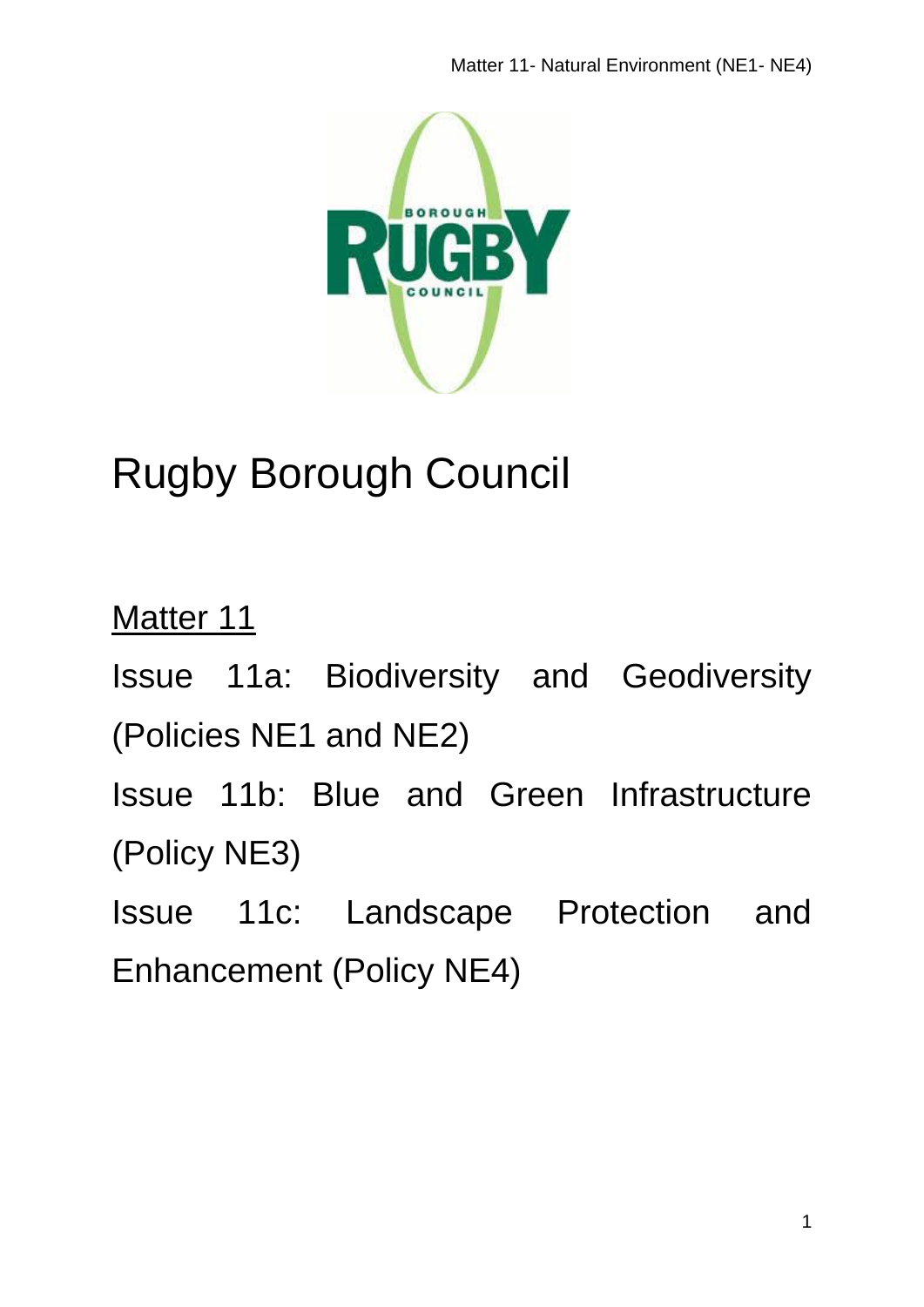

# Rugby Borough Council

Matter 11 Issue 11a: Biodiversity and Geodiversity (Policies NE1 and NE2) Issue 11b: Blue and Green Infrastructure (Policy NE3) Issue 11c: Landscape Protection and Enhancement (Policy NE4)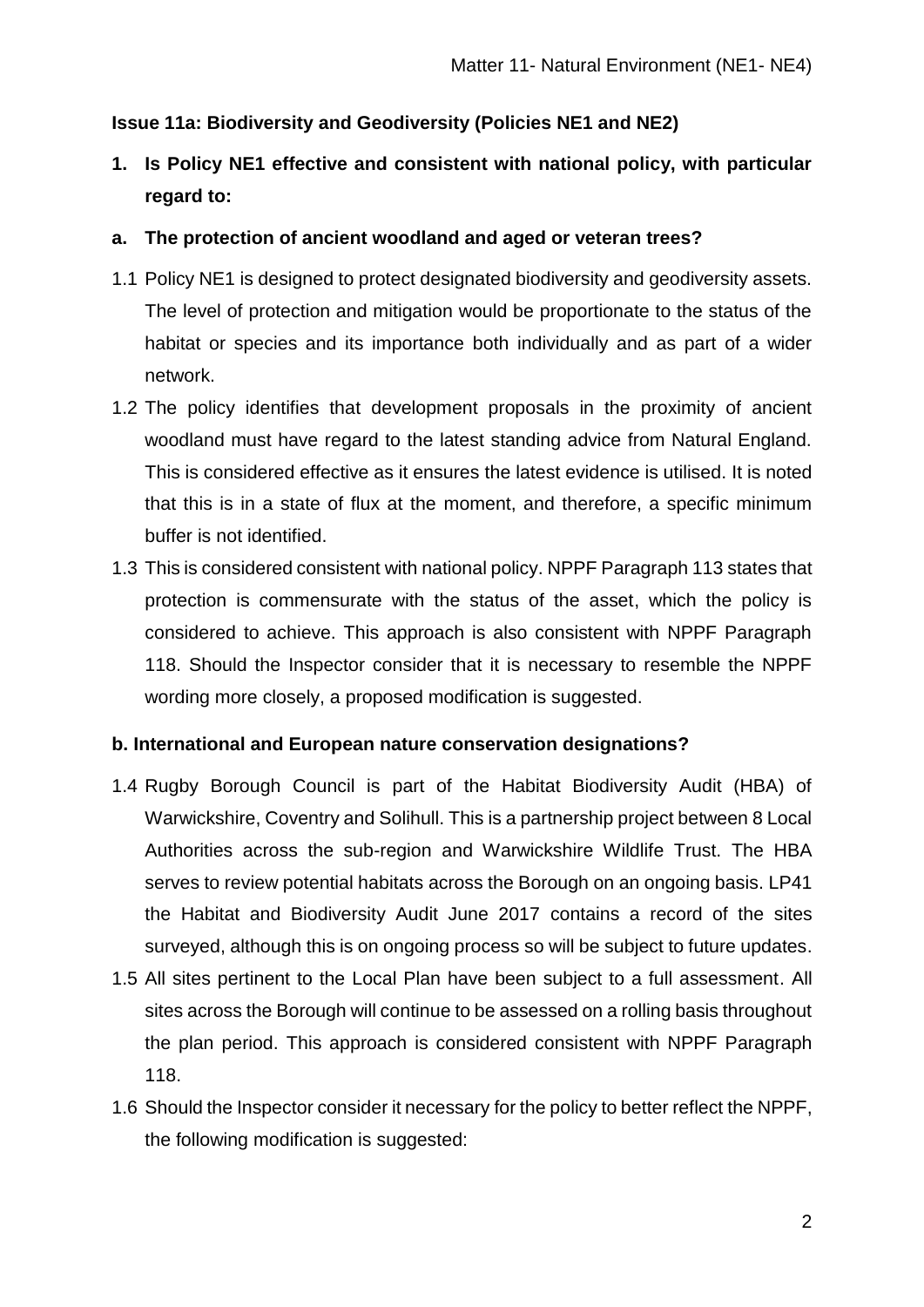## **Issue 11a: Biodiversity and Geodiversity (Policies NE1 and NE2)**

**1. Is Policy NE1 effective and consistent with national policy, with particular regard to:**

## **a. The protection of ancient woodland and aged or veteran trees?**

- 1.1 Policy NE1 is designed to protect designated biodiversity and geodiversity assets. The level of protection and mitigation would be proportionate to the status of the habitat or species and its importance both individually and as part of a wider network.
- 1.2 The policy identifies that development proposals in the proximity of ancient woodland must have regard to the latest standing advice from Natural England. This is considered effective as it ensures the latest evidence is utilised. It is noted that this is in a state of flux at the moment, and therefore, a specific minimum buffer is not identified.
- 1.3 This is considered consistent with national policy. NPPF Paragraph 113 states that protection is commensurate with the status of the asset, which the policy is considered to achieve. This approach is also consistent with NPPF Paragraph 118. Should the Inspector consider that it is necessary to resemble the NPPF wording more closely, a proposed modification is suggested.

## **b. International and European nature conservation designations?**

- 1.4 Rugby Borough Council is part of the Habitat Biodiversity Audit (HBA) of Warwickshire, Coventry and Solihull. This is a partnership project between 8 Local Authorities across the sub-region and Warwickshire Wildlife Trust. The HBA serves to review potential habitats across the Borough on an ongoing basis. LP41 the Habitat and Biodiversity Audit June 2017 contains a record of the sites surveyed, although this is on ongoing process so will be subject to future updates.
- 1.5 All sites pertinent to the Local Plan have been subject to a full assessment. All sites across the Borough will continue to be assessed on a rolling basis throughout the plan period. This approach is considered consistent with NPPF Paragraph 118.
- 1.6 Should the Inspector consider it necessary for the policy to better reflect the NPPF, the following modification is suggested: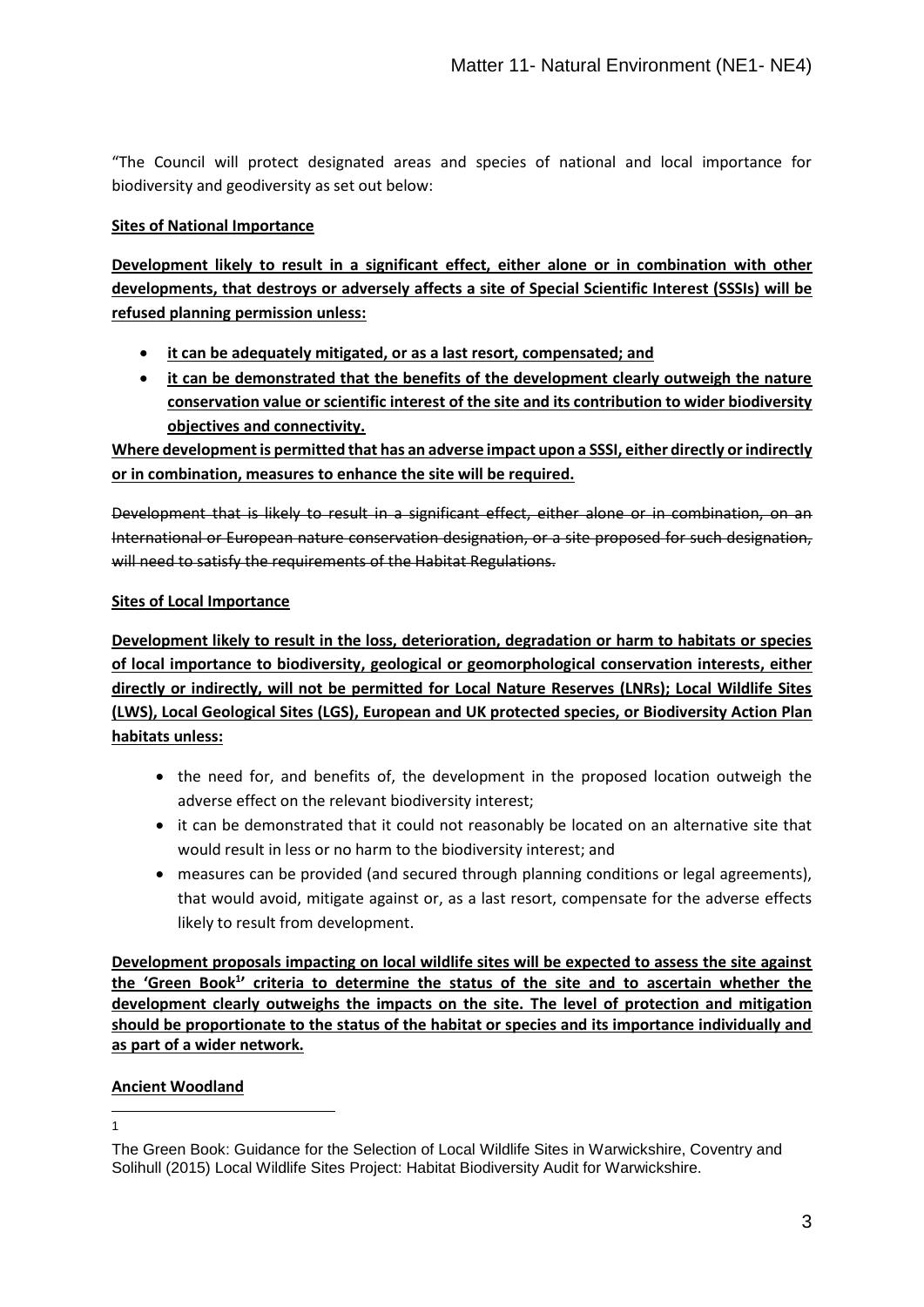"The Council will protect designated areas and species of national and local importance for biodiversity and geodiversity as set out below:

#### **Sites of National Importance**

**Development likely to result in a significant effect, either alone or in combination with other developments, that destroys or adversely affects a site of Special Scientific Interest (SSSIs) will be refused planning permission unless:** 

- **it can be adequately mitigated, or as a last resort, compensated; and**
- **it can be demonstrated that the benefits of the development clearly outweigh the nature conservation value or scientific interest of the site and its contribution to wider biodiversity objectives and connectivity.**

**Where development is permitted that has an adverse impact upon a SSSI, either directly or indirectly or in combination, measures to enhance the site will be required.**

Development that is likely to result in a significant effect, either alone or in combination, on an International or European nature conservation designation, or a site proposed for such designation, will need to satisfy the requirements of the Habitat Regulations.

#### **Sites of Local Importance**

**Development likely to result in the loss, deterioration, degradation or harm to habitats or species of local importance to biodiversity, geological or geomorphological conservation interests, either directly or indirectly, will not be permitted for Local Nature Reserves (LNRs); Local Wildlife Sites (LWS), Local Geological Sites (LGS), European and UK protected species, or Biodiversity Action Plan habitats unless:** 

- the need for, and benefits of, the development in the proposed location outweigh the adverse effect on the relevant biodiversity interest;
- it can be demonstrated that it could not reasonably be located on an alternative site that would result in less or no harm to the biodiversity interest; and
- measures can be provided (and secured through planning conditions or legal agreements), that would avoid, mitigate against or, as a last resort, compensate for the adverse effects likely to result from development.

**Development proposals impacting on local wildlife sites will be expected to assess the site against the 'Green Book<sup>1</sup> ' criteria to determine the status of the site and to ascertain whether the development clearly outweighs the impacts on the site. The level of protection and mitigation should be proportionate to the status of the habitat or species and its importance individually and as part of a wider network.**

### **Ancient Woodland**

1 1

The Green Book: Guidance for the Selection of Local Wildlife Sites in Warwickshire, Coventry and Solihull (2015) Local Wildlife Sites Project: Habitat Biodiversity Audit for Warwickshire.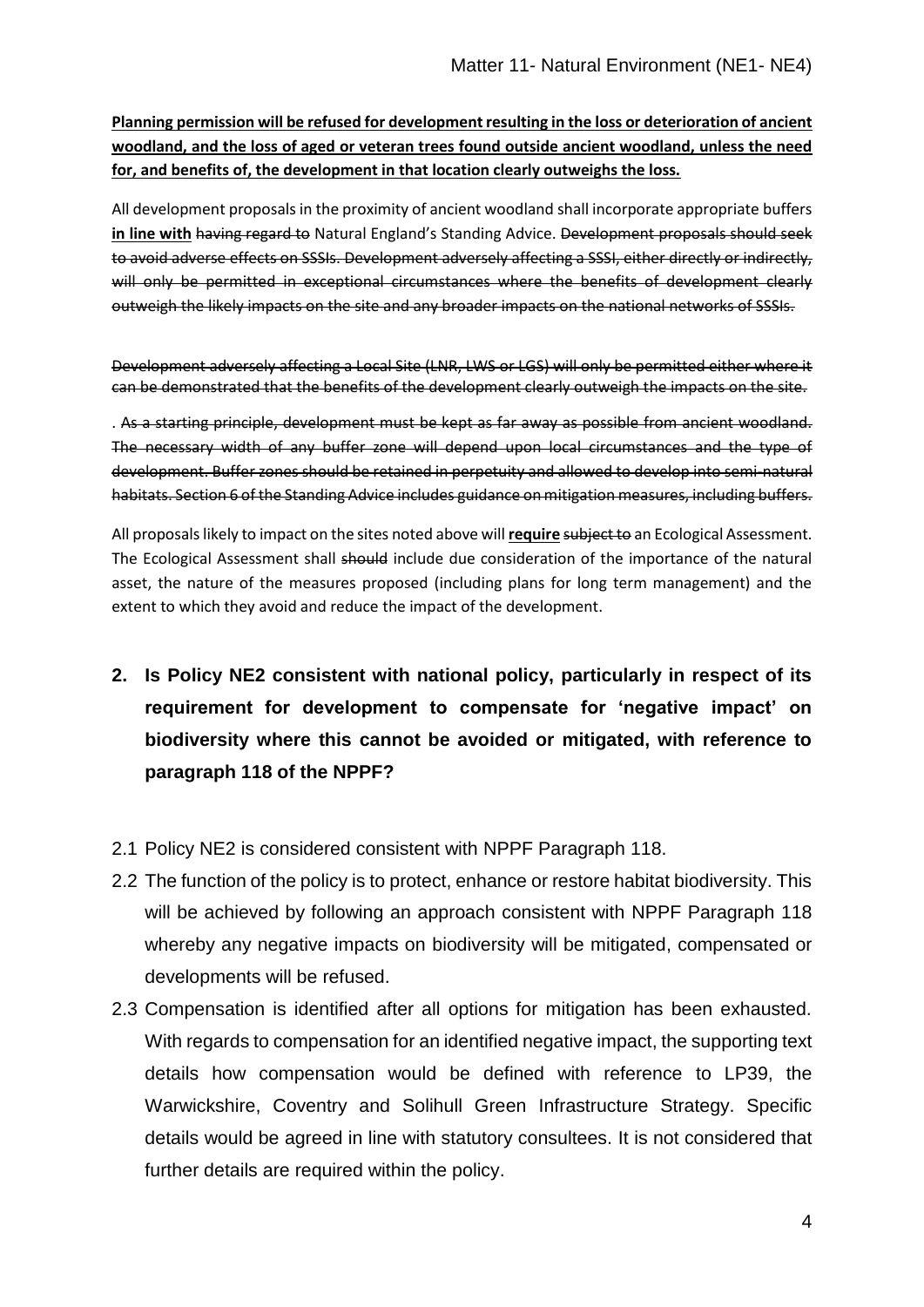**Planning permission will be refused for development resulting in the loss or deterioration of ancient woodland, and the loss of aged or veteran trees found outside ancient woodland, unless the need for, and benefits of, the development in that location clearly outweighs the loss.**

All development proposals in the proximity of ancient woodland shall incorporate appropriate buffers **in line with** having regard to Natural England's Standing Advice. Development proposals should seek to avoid adverse effects on SSSIs. Development adversely affecting a SSSI, either directly or indirectly, will only be permitted in exceptional circumstances where the benefits of development clearly outweigh the likely impacts on the site and any broader impacts on the national networks of SSSIs.

Development adversely affecting a Local Site (LNR, LWS or LGS) will only be permitted either where it can be demonstrated that the benefits of the development clearly outweigh the impacts on the site.

. As a starting principle, development must be kept as far away as possible from ancient woodland. The necessary width of any buffer zone will depend upon local circumstances and the type of development. Buffer zones should be retained in perpetuity and allowed to develop into semi-natural habitats. Section 6 of the Standing Advice includes guidance on mitigation measures, including buffers.

All proposals likely to impact on the sites noted above will **require** subject to an Ecological Assessment. The Ecological Assessment shall should include due consideration of the importance of the natural asset, the nature of the measures proposed (including plans for long term management) and the extent to which they avoid and reduce the impact of the development.

- **2. Is Policy NE2 consistent with national policy, particularly in respect of its requirement for development to compensate for 'negative impact' on biodiversity where this cannot be avoided or mitigated, with reference to paragraph 118 of the NPPF?**
- 2.1 Policy NE2 is considered consistent with NPPF Paragraph 118.
- 2.2 The function of the policy is to protect, enhance or restore habitat biodiversity. This will be achieved by following an approach consistent with NPPF Paragraph 118 whereby any negative impacts on biodiversity will be mitigated, compensated or developments will be refused.
- 2.3 Compensation is identified after all options for mitigation has been exhausted. With regards to compensation for an identified negative impact, the supporting text details how compensation would be defined with reference to LP39, the Warwickshire, Coventry and Solihull Green Infrastructure Strategy. Specific details would be agreed in line with statutory consultees. It is not considered that further details are required within the policy.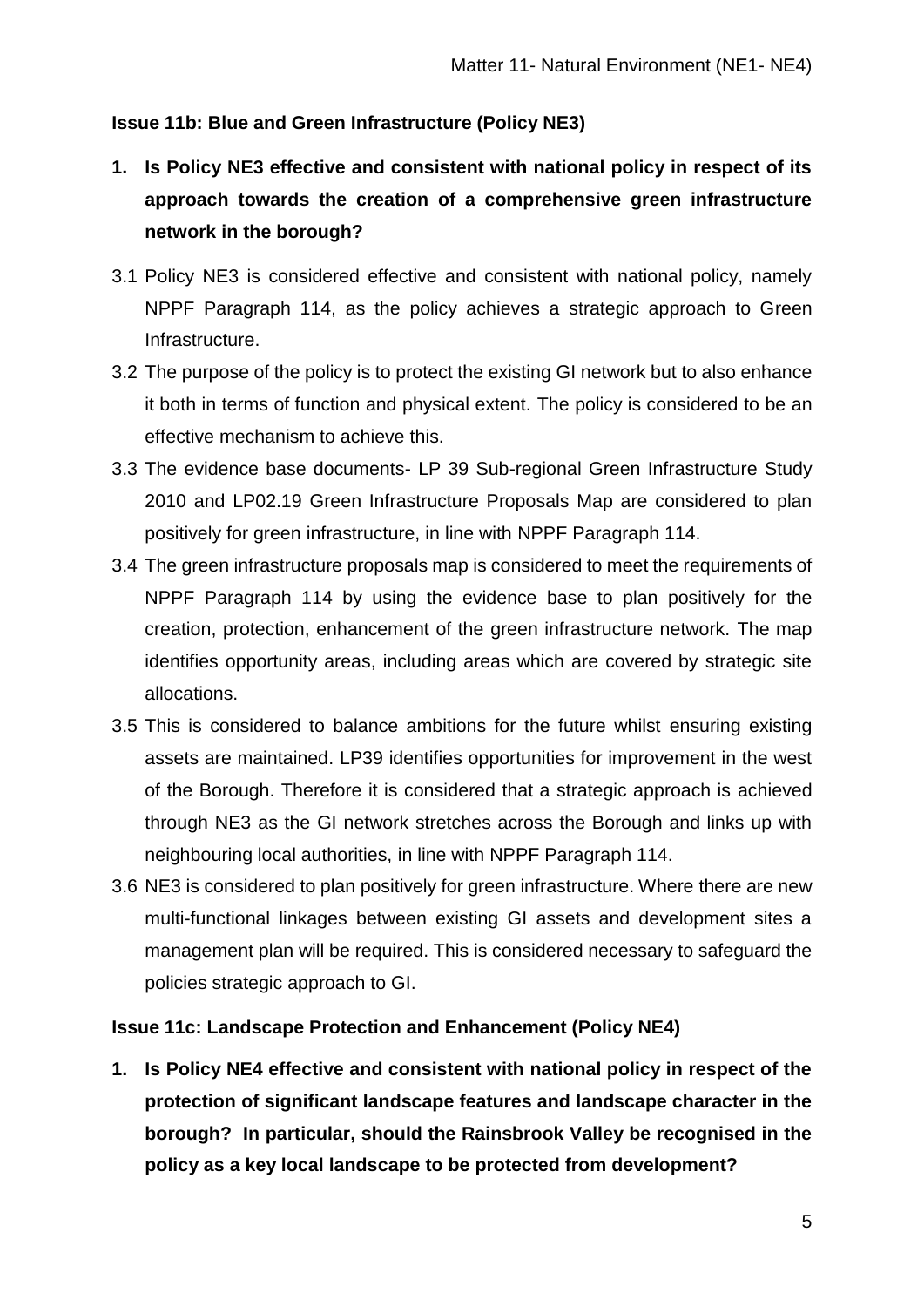## **Issue 11b: Blue and Green Infrastructure (Policy NE3)**

- **1. Is Policy NE3 effective and consistent with national policy in respect of its approach towards the creation of a comprehensive green infrastructure network in the borough?**
- 3.1 Policy NE3 is considered effective and consistent with national policy, namely NPPF Paragraph 114, as the policy achieves a strategic approach to Green Infrastructure.
- 3.2 The purpose of the policy is to protect the existing GI network but to also enhance it both in terms of function and physical extent. The policy is considered to be an effective mechanism to achieve this.
- 3.3 The evidence base documents- LP 39 Sub-regional Green Infrastructure Study 2010 and LP02.19 Green Infrastructure Proposals Map are considered to plan positively for green infrastructure, in line with NPPF Paragraph 114.
- 3.4 The green infrastructure proposals map is considered to meet the requirements of NPPF Paragraph 114 by using the evidence base to plan positively for the creation, protection, enhancement of the green infrastructure network. The map identifies opportunity areas, including areas which are covered by strategic site allocations.
- 3.5 This is considered to balance ambitions for the future whilst ensuring existing assets are maintained. LP39 identifies opportunities for improvement in the west of the Borough. Therefore it is considered that a strategic approach is achieved through NE3 as the GI network stretches across the Borough and links up with neighbouring local authorities, in line with NPPF Paragraph 114.
- 3.6 NE3 is considered to plan positively for green infrastructure. Where there are new multi-functional linkages between existing GI assets and development sites a management plan will be required. This is considered necessary to safeguard the policies strategic approach to GI.

## **Issue 11c: Landscape Protection and Enhancement (Policy NE4)**

**1. Is Policy NE4 effective and consistent with national policy in respect of the protection of significant landscape features and landscape character in the borough? In particular, should the Rainsbrook Valley be recognised in the policy as a key local landscape to be protected from development?**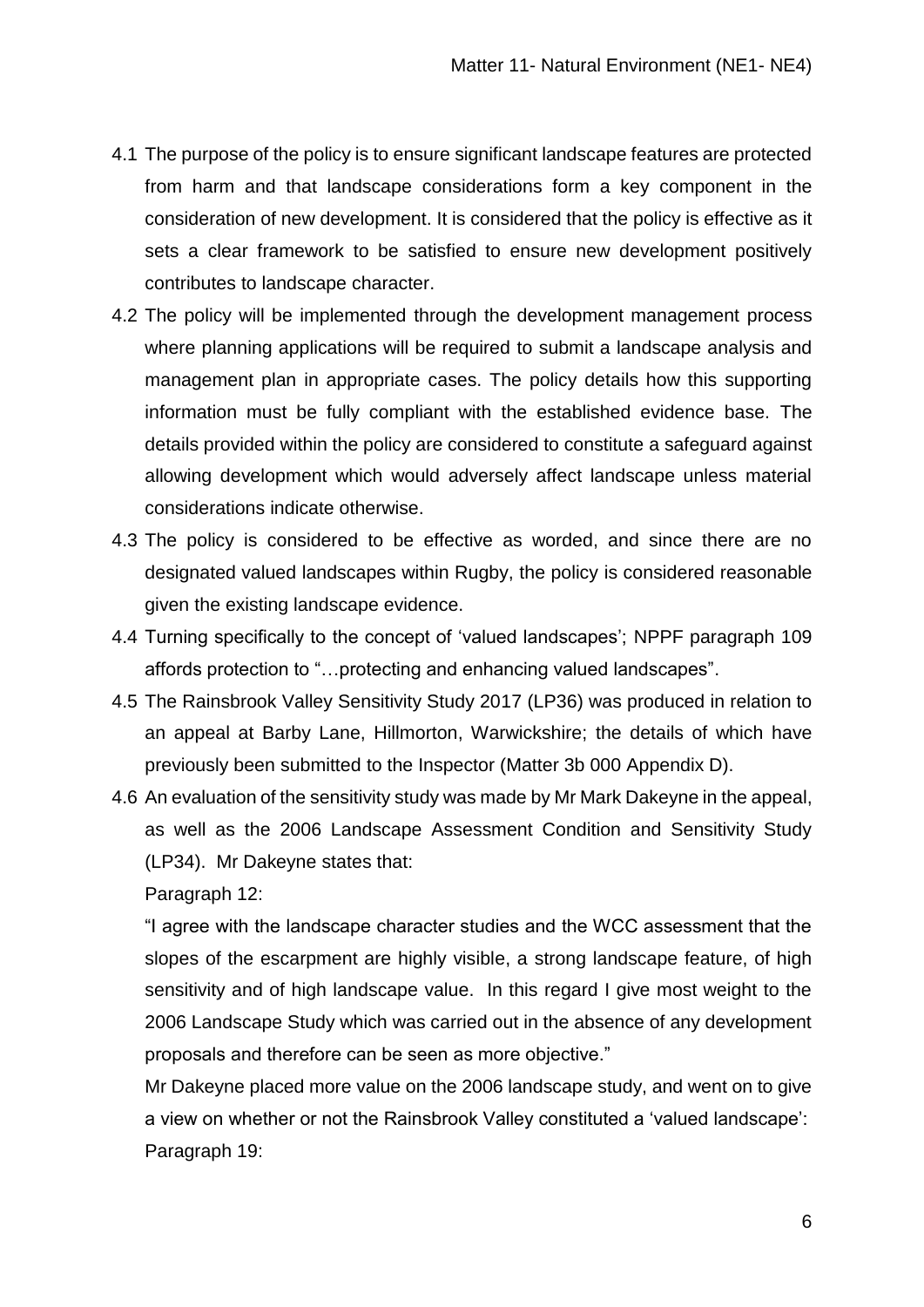- 4.1 The purpose of the policy is to ensure significant landscape features are protected from harm and that landscape considerations form a key component in the consideration of new development. It is considered that the policy is effective as it sets a clear framework to be satisfied to ensure new development positively contributes to landscape character.
- 4.2 The policy will be implemented through the development management process where planning applications will be required to submit a landscape analysis and management plan in appropriate cases. The policy details how this supporting information must be fully compliant with the established evidence base. The details provided within the policy are considered to constitute a safeguard against allowing development which would adversely affect landscape unless material considerations indicate otherwise.
- 4.3 The policy is considered to be effective as worded, and since there are no designated valued landscapes within Rugby, the policy is considered reasonable given the existing landscape evidence.
- 4.4 Turning specifically to the concept of 'valued landscapes'; NPPF paragraph 109 affords protection to "…protecting and enhancing valued landscapes".
- 4.5 The Rainsbrook Valley Sensitivity Study 2017 (LP36) was produced in relation to an appeal at Barby Lane, Hillmorton, Warwickshire; the details of which have previously been submitted to the Inspector (Matter 3b 000 Appendix D).
- 4.6 An evaluation of the sensitivity study was made by Mr Mark Dakeyne in the appeal, as well as the 2006 Landscape Assessment Condition and Sensitivity Study (LP34). Mr Dakeyne states that:

Paragraph 12:

"I agree with the landscape character studies and the WCC assessment that the slopes of the escarpment are highly visible, a strong landscape feature, of high sensitivity and of high landscape value. In this regard I give most weight to the 2006 Landscape Study which was carried out in the absence of any development proposals and therefore can be seen as more objective."

Mr Dakeyne placed more value on the 2006 landscape study, and went on to give a view on whether or not the Rainsbrook Valley constituted a 'valued landscape': Paragraph 19: